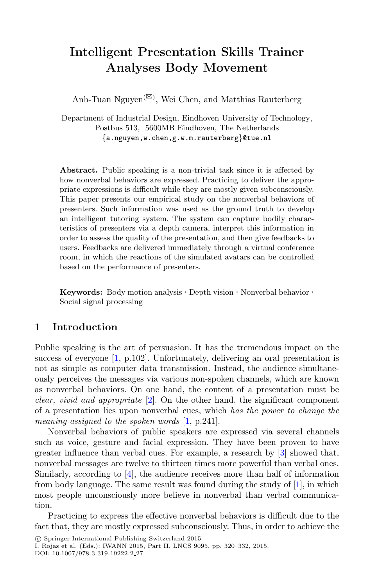# **Intelligent Presentation Skills Trainer Analyses Body Movement**

Anh-Tuan Nguyen<sup>( $\boxtimes$ )</sup>, Wei Chen, and Matthias Rauterberg

Department of Industrial Design, Eindhoven University of Technology, Postbus 513, 5600MB Eindhoven, The Netherlands *{*a.nguyen,w.chen,g.w.m.rauterberg*}*@tue.nl

**Abstract.** Public speaking is a non-trivial task since it is affected by how nonverbal behaviors are expressed. Practicing to deliver the appropriate expressions is difficult while they are mostly given subconsciously. This paper presents our empirical study on the nonverbal behaviors of presenters. Such information was used as the ground truth to develop an intelligent tutoring system. The system can capture bodily characteristics of presenters via a depth camera, interpret this information in order to assess the quality of the presentation, and then give feedbacks to users. Feedbacks are delivered immediately through a virtual conference room, in which the reactions of the simulated avatars can be controlled based on the performance of presenters.

**Keywords:** Body motion analysis *·* Depth vision *·* Nonverbal behavior *·* Social signal processing

#### **1 Introduction**

Public speaking is the art of persuasion. It has the tremendous impact on the success of everyone [\[1,](#page-11-0) p.102]. Unfortunately, delivering an oral presentation is not as simple as computer data transmission. Instead, the audience simultaneously perceives the messages via various non-spoken channels, which are known as nonverbal behaviors. On one hand, the content of a presentation must be *clear, vivid and appropriate* [\[2](#page-11-1)]. On the other hand, the significant component of a presentation lies upon nonverbal cues, which *has the power to change the meaning assigned to the spoken words* [\[1](#page-11-0), p.241].

Nonverbal behaviors of public speakers are expressed via several channels such as voice, gesture and facial expression. They have been proven to have greater influence than verbal cues. For example, a research by [\[3](#page-11-2)] showed that, nonverbal messages are twelve to thirteen times more powerful than verbal ones. Similarly, according to [\[4](#page-11-3)], the audience receives more than half of information from body language. The same result was found during the study of [\[1\]](#page-11-0), in which most people unconsciously more believe in nonverbal than verbal communication.

Practicing to express the effective nonverbal behaviors is difficult due to the fact that, they are mostly expressed subconsciously. Thus, in order to achieve the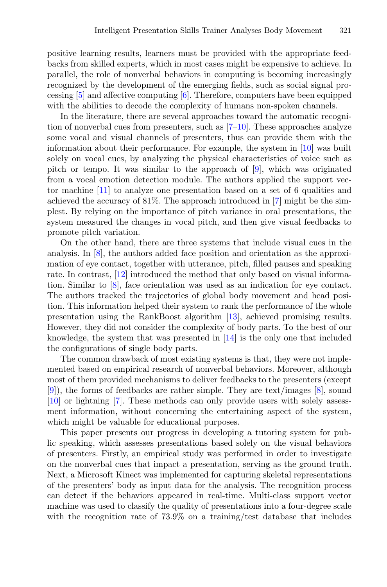positive learning results, learners must be provided with the appropriate feedbacks from skilled experts, which in most cases might be expensive to achieve. In parallel, the role of nonverbal behaviors in computing is becoming increasingly recognized by the development of the emerging fields, such as social signal processing [\[5\]](#page-11-4) and affective computing [\[6](#page-11-5)]. Therefore, computers have been equipped with the abilities to decode the complexity of humans non-spoken channels.

In the literature, there are several approaches toward the automatic recognition of nonverbal cues from presenters, such as  $[7-10]$  $[7-10]$ . These approaches analyze some vocal and visual channels of presenters, thus can provide them with the information about their performance. For example, the system in [\[10\]](#page-12-0) was built solely on vocal cues, by analyzing the physical characteristics of voice such as pitch or tempo. It was similar to the approach of [\[9](#page-11-7)], which was originated from a vocal emotion detection module. The authors applied the support vector machine [\[11\]](#page-12-1) to analyze one presentation based on a set of 6 qualities and achieved the accuracy of 81%. The approach introduced in [\[7](#page-11-6)] might be the simplest. By relying on the importance of pitch variance in oral presentations, the system measured the changes in vocal pitch, and then give visual feedbacks to promote pitch variation.

On the other hand, there are three systems that include visual cues in the analysis. In [\[8](#page-11-8)], the authors added face position and orientation as the approximation of eye contact, together with utterance, pitch, filled pauses and speaking rate. In contrast, [\[12](#page-12-2)] introduced the method that only based on visual information. Similar to [\[8\]](#page-11-8), face orientation was used as an indication for eye contact. The authors tracked the trajectories of global body movement and head position. This information helped their system to rank the performance of the whole presentation using the RankBoost algorithm [\[13\]](#page-12-3), achieved promising results. However, they did not consider the complexity of body parts. To the best of our knowledge, the system that was presented in [\[14](#page-12-4)] is the only one that included the configurations of single body parts.

The common drawback of most existing systems is that, they were not implemented based on empirical research of nonverbal behaviors. Moreover, although most of them provided mechanisms to deliver feedbacks to the presenters (except [\[9](#page-11-7)]), the forms of feedbacks are rather simple. They are text/images [\[8\]](#page-11-8), sound [\[10](#page-12-0)] or lightning [\[7](#page-11-6)]. These methods can only provide users with solely assessment information, without concerning the entertaining aspect of the system, which might be valuable for educational purposes.

This paper presents our progress in developing a tutoring system for public speaking, which assesses presentations based solely on the visual behaviors of presenters. Firstly, an empirical study was performed in order to investigate on the nonverbal cues that impact a presentation, serving as the ground truth. Next, a Microsoft Kinect was implemented for capturing skeletal representations of the presenters' body as input data for the analysis. The recognition process can detect if the behaviors appeared in real-time. Multi-class support vector machine was used to classify the quality of presentations into a four-degree scale with the recognition rate of 73.9% on a training/test database that includes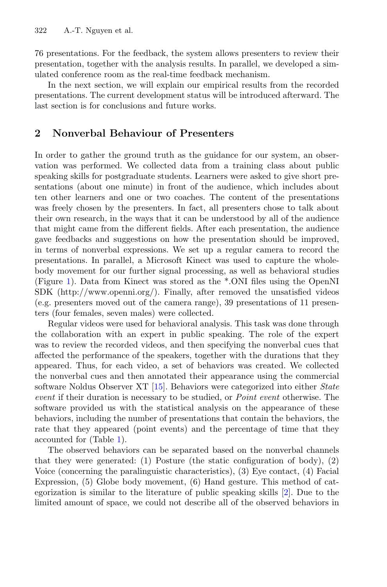76 presentations. For the feedback, the system allows presenters to review their presentation, together with the analysis results. In parallel, we developed a simulated conference room as the real-time feedback mechanism.

In the next section, we will explain our empirical results from the recorded presentations. The current development status will be introduced afterward. The last section is for conclusions and future works.

## **2 Nonverbal Behaviour of Presenters**

In order to gather the ground truth as the guidance for our system, an observation was performed. We collected data from a training class about public speaking skills for postgraduate students. Learners were asked to give short presentations (about one minute) in front of the audience, which includes about ten other learners and one or two coaches. The content of the presentations was freely chosen by the presenters. In fact, all presenters chose to talk about their own research, in the ways that it can be understood by all of the audience that might came from the different fields. After each presentation, the audience gave feedbacks and suggestions on how the presentation should be improved, in terms of nonverbal expressions. We set up a regular camera to record the presentations. In parallel, a Microsoft Kinect was used to capture the wholebody movement for our further signal processing, as well as behavioral studies (Figure [1\)](#page-4-0). Data from Kinect was stored as the \*.ONI files using the OpenNI SDK (http://www.openni.org/). Finally, after removed the unsatisfied videos (e.g. presenters moved out of the camera range), 39 presentations of 11 presenters (four females, seven males) were collected.

Regular videos were used for behavioral analysis. This task was done through the collaboration with an expert in public speaking. The role of the expert was to review the recorded videos, and then specifying the nonverbal cues that affected the performance of the speakers, together with the durations that they appeared. Thus, for each video, a set of behaviors was created. We collected the nonverbal cues and then annotated their appearance using the commercial software Noldus Observer XT [\[15\]](#page-12-5). Behaviors were categorized into either *State event* if their duration is necessary to be studied, or *Point event* otherwise. The software provided us with the statistical analysis on the appearance of these behaviors, including the number of presentations that contain the behaviors, the rate that they appeared (point events) and the percentage of time that they accounted for (Table [1\)](#page-3-0).

The observed behaviors can be separated based on the nonverbal channels that they were generated: (1) Posture (the static configuration of body), (2) Voice (concerning the paralinguistic characteristics), (3) Eye contact, (4) Facial Expression, (5) Globe body movement, (6) Hand gesture. This method of categorization is similar to the literature of public speaking skills [\[2](#page-11-1)]. Due to the limited amount of space, we could not describe all of the observed behaviors in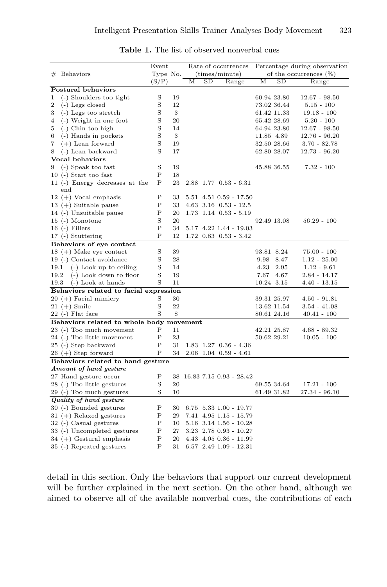|                         |                                        | Event       |    | Rate of occurrences |             | Percentage during observation  |             |             |                           |
|-------------------------|----------------------------------------|-------------|----|---------------------|-------------|--------------------------------|-------------|-------------|---------------------------|
| $#$ Behaviors           |                                        | Type No.    |    |                     |             | (times/minute)                 |             |             | of the occurrences $(\%)$ |
|                         |                                        | (S/P)       |    | М                   | $_{\rm SD}$ | Range                          | М           | SD          | Range                     |
| Postural behaviors      |                                        |             |    |                     |             |                                |             |             |                           |
| 1                       | (-) Shoulders too tight                | S           | 19 |                     |             |                                |             | 60.94 23.80 | $12.67 - 98.50$           |
| $\overline{2}$          | (-) Legs closed                        | S           | 12 |                     |             |                                |             | 73.02 36.44 | $5.15 - 100$              |
| 3                       | $(-)$ Legs too stretch                 | S           | 3  |                     |             |                                |             | 61.42 11.33 | $19.18 - 100$             |
| 4                       | (-) Weight in one foot                 | S           | 20 |                     |             |                                |             | 65.42 28.69 | $5.20 - 100$              |
| 5                       | $(-)$ Chin too high                    | S           | 14 |                     |             |                                | 64.94 23.80 |             | $12.67 - 98.50$           |
| 6                       | (-) Hands in pockets                   | S           | 3  |                     |             |                                | 11.85 4.89  |             | $12.76 - 96.20$           |
| 7                       | $(+)$ Lean forward                     | S           | 19 |                     |             |                                |             | 32.50 28.66 | $3.70 - 82.78$            |
| 8                       | (-) Lean backward                      | S           | 17 |                     |             |                                |             | 62.80 28.07 | 12.73 - 96.20             |
|                         | Vocal behaviors                        |             |    |                     |             |                                |             |             |                           |
| 9                       | (-) Speak too fast                     | S           | 19 |                     |             |                                |             | 45.88 36.55 | 7.32 - 100                |
|                         | $10$ (-) Start too fast                | Ρ           | 18 |                     |             |                                |             |             |                           |
|                         | 11 (-) Energy decreases at the         | P           | 23 |                     |             | $2.88$ 1.77 0.53 - 6.31        |             |             |                           |
| end                     |                                        |             |    |                     |             |                                |             |             |                           |
|                         | $12 (+)$ Vocal emphasis                | Ρ           | 33 |                     |             | $5.51$ $4.51$ $0.59$ - $17.50$ |             |             |                           |
|                         | $13 (+)$ Suitable pause                | Ρ           | 33 |                     |             | $4.63$ $3.16$ $0.53$ - $12.5$  |             |             |                           |
|                         | 14 (-) Unsuitable pause                | P           | 20 |                     |             | $1.73$ $1.14$ $0.53$ - $5.19$  |             |             |                           |
|                         | $15$ (-) Monotone                      | S           | 20 |                     |             |                                |             | 92.49 13.08 | $56.29 - 100$             |
| $16$ (-) Fillers        |                                        | P           | 34 |                     |             | 5.17 4.22 1.44 - 19.03         |             |             |                           |
|                         | 17 (-) Stuttering                      | $\mathbf P$ | 12 |                     |             | $1.72$ $0.83$ $0.53$ - $3.42$  |             |             |                           |
|                         | Behaviors of eye contact               |             |    |                     |             |                                |             |             |                           |
|                         | $18 (+)$ Make eye contact              | S           | 39 |                     |             |                                | 93.81 8.24  |             | $75.00 - 100$             |
|                         | 19 (-) Contact avoidance               | S           | 28 |                     |             |                                | 9.98        | 8.47        | $1.12 - 25.00$            |
| 19.1                    | $(-)$ Look up to ceiling               | S           | 14 |                     |             |                                | 4.23        | 2.95        | $1.12 - 9.61$             |
| 19.2                    | (-) Look down to floor                 | S           | 19 |                     |             |                                | 7.67        | 4.67        | $2.84 - 14.17$            |
| 19.3                    | (-) Look at hands                      | S           | 11 |                     |             |                                | 10.24 3.15  |             | $4.40 - 13.15$            |
|                         | Behaviors related to facial expression |             |    |                     |             |                                |             |             |                           |
|                         | $20 (+)$ Facial mimicry                | S           | 30 |                     |             |                                |             | 39.31 25.97 | $4.50 - 91.81$            |
| $21 (+)$ Smile          |                                        | S           | 22 |                     |             |                                |             | 13.62 11.54 | $3.54 - 41.08$            |
|                         | $22$ (-) Flat face                     | S           | 8  |                     |             |                                |             | 80.61 24.16 | $40.41 - 100$             |
|                         | Behaviors related to whole body        |             |    | movement            |             |                                |             |             |                           |
|                         | 23 (-) Too much movement               | Ρ           | 11 |                     |             |                                |             | 42.21 25.87 | $4.68 - 89.32$            |
|                         | 24 (-) Too little movement             | Ρ           | 23 |                     |             |                                | 50.62 29.21 |             | $10.05 - 100$             |
|                         | 25 (-) Step backward                   | $\mathbf P$ | 31 |                     |             | $1.83$ $1.27$ $0.36$ - $4.36$  |             |             |                           |
|                         | $26 (+)$ Step forward                  | Ρ           | 34 |                     |             | $2.06$ 1.04 0.59 - 4.61        |             |             |                           |
|                         | Behaviors related to hand gesture      |             |    |                     |             |                                |             |             |                           |
|                         | Amount of hand gesture                 |             |    |                     |             |                                |             |             |                           |
|                         | 27 Hand gesture occur                  | Ρ           | 38 |                     |             | 16.83 7.15 0.93 - 28.42        |             |             |                           |
|                         | 28 (-) Too little gestures             | S           | 20 |                     |             |                                |             | 69.55 34.64 | $17.21 - 100$             |
|                         | 29 (-) Too much gestures               | S           | 10 |                     |             |                                |             | 61.49 31.82 | 27.34 - 96.10             |
| Quality of hand gesture |                                        |             |    |                     |             |                                |             |             |                           |
|                         | 30 (-) Bounded gestures                | Ρ           | 30 |                     |             | $6.75$ $5.33$ $1.00$ - $19.77$ |             |             |                           |
|                         | $31 (+)$ Relaxed gestures              | Ρ           | 29 |                     |             | 7.41 4.95 1.15 - 15.79         |             |             |                           |
|                         | 32 (-) Casual gestures                 | Ρ           | 10 |                     |             | $5.16$ $3.14$ $1.56$ - $10.28$ |             |             |                           |
|                         | 33 (-) Uncompleted gestures            | Ρ           | 27 |                     |             | $3.23$ $2.78$ $0.93$ - $10.27$ |             |             |                           |
|                         | 34 (+) Gestural emphasis               | Ρ           | 20 |                     |             | $4.43$ $4.05$ $0.36$ - $11.99$ |             |             |                           |
|                         | 35 (-) Repeated gestures               | $\mathbf P$ | 31 |                     |             | $6.57$ 2.49 $1.09$ - 12.31     |             |             |                           |

<span id="page-3-0"></span>**Table 1.** The list of observed nonverbal cues

detail in this section. Only the behaviors that support our current development will be further explained in the next section. On the other hand, although we aimed to observe all of the available nonverbal cues, the contributions of each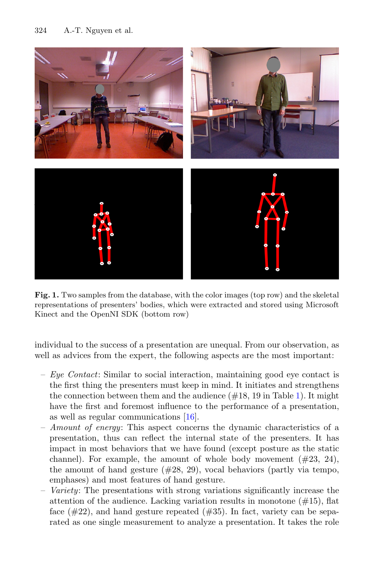

**Fig. 1.** Two samples from the database, with the color images (top row) and the skeletal representations of presenters' bodies, which were extracted and stored using Microsoft Kinect and the OpenNI SDK (bottom row)

<span id="page-4-0"></span>individual to the success of a presentation are unequal. From our observation, as well as advices from the expert, the following aspects are the most important:

- *Eye Contact*: Similar to social interaction, maintaining good eye contact is the first thing the presenters must keep in mind. It initiates and strengthens the connection between them and the audience  $(\#18, 19 \text{ in Table 1})$ . It might have the first and foremost influence to the performance of a presentation, as well as regular communications [\[16\]](#page-12-6).
- *Amount of energy*: This aspect concerns the dynamic characteristics of a presentation, thus can reflect the internal state of the presenters. It has impact in most behaviors that we have found (except posture as the static channel). For example, the amount of whole body movement  $(\#23, 24)$ , the amount of hand gesture  $(\#28, 29)$ , vocal behaviors (partly via tempo, emphases) and most features of hand gesture.
- *Variety*: The presentations with strong variations significantly increase the attention of the audience. Lacking variation results in monotone  $(\#15)$ , flat face  $(\#22)$ , and hand gesture repeated  $(\#35)$ . In fact, variety can be separated as one single measurement to analyze a presentation. It takes the role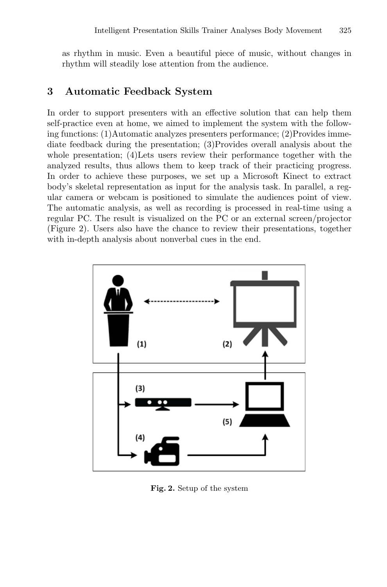as rhythm in music. Even a beautiful piece of music, without changes in rhythm will steadily lose attention from the audience.

### **3 Automatic Feedback System**

In order to support presenters with an effective solution that can help them self-practice even at home, we aimed to implement the system with the following functions: (1)Automatic analyzes presenters performance; (2)Provides immediate feedback during the presentation; (3)Provides overall analysis about the whole presentation; (4)Lets users review their performance together with the analyzed results, thus allows them to keep track of their practicing progress. In order to achieve these purposes, we set up a Microsoft Kinect to extract body's skeletal representation as input for the analysis task. In parallel, a regular camera or webcam is positioned to simulate the audiences point of view. The automatic analysis, as well as recording is processed in real-time using a regular PC. The result is visualized on the PC or an external screen/projector (Figure 2). Users also have the chance to review their presentations, together with in-depth analysis about nonverbal cues in the end.



**Fig. 2.** Setup of the system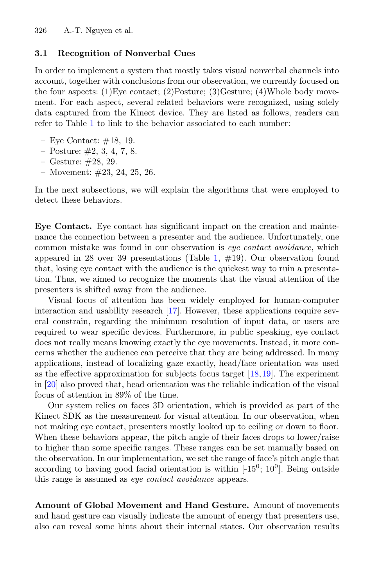#### **3.1 Recognition of Nonverbal Cues**

In order to implement a system that mostly takes visual nonverbal channels into account, together with conclusions from our observation, we currently focused on the four aspects: (1)Eye contact; (2)Posture; (3)Gesture; (4)Whole body movement. For each aspect, several related behaviors were recognized, using solely data captured from the Kinect device. They are listed as follows, readers can refer to Table [1](#page-3-0) to link to the behavior associated to each number:

- Eye Contact: #18, 19.
- $-$  Posture:  $\#2, 3, 4, 7, 8$ .
- Gesture: #28, 29.
- Movement: #23, 24, 25, 26.

In the next subsections, we will explain the algorithms that were employed to detect these behaviors.

**Eye Contact.** Eye contact has significant impact on the creation and maintenance the connection between a presenter and the audience. Unfortunately, one common mistake was found in our observation is *eye contact avoidance*, which appeared in 28 over 39 presentations (Table [1,](#page-3-0)  $\#19$ ). Our observation found that, losing eye contact with the audience is the quickest way to ruin a presentation. Thus, we aimed to recognize the moments that the visual attention of the presenters is shifted away from the audience.

Visual focus of attention has been widely employed for human-computer interaction and usability research [\[17](#page-12-7)]. However, these applications require several constrain, regarding the minimum resolution of input data, or users are required to wear specific devices. Furthermore, in public speaking, eye contact does not really means knowing exactly the eye movements. Instead, it more concerns whether the audience can perceive that they are being addressed. In many applications, instead of localizing gaze exactly, head/face orientation was used as the effective approximation for subjects focus target [\[18,](#page-12-8)[19\]](#page-12-9). The experiment in [\[20](#page-12-10)] also proved that, head orientation was the reliable indication of the visual focus of attention in 89% of the time.

Our system relies on faces 3D orientation, which is provided as part of the Kinect SDK as the measurement for visual attention. In our observation, when not making eye contact, presenters mostly looked up to ceiling or down to floor. When these behaviors appear, the pitch angle of their faces drops to lower/raise to higher than some specific ranges. These ranges can be set manually based on the observation. In our implementation, we set the range of face's pitch angle that according to having good facial orientation is within  $[-15^0; 10^0]$ . Being outside this range is assumed as *eye contact avoidance* appears.

<span id="page-6-0"></span>**Amount of Global Movement and Hand Gesture.** Amount of movements and hand gesture can visually indicate the amount of energy that presenters use, also can reveal some hints about their internal states. Our observation results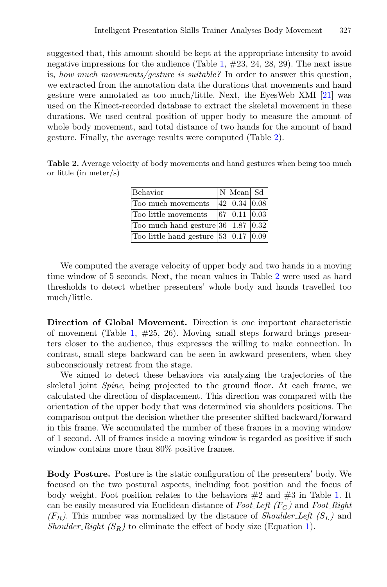suggested that, this amount should be kept at the appropriate intensity to avoid negative impressions for the audience (Table [1,](#page-3-0)  $\#23$ , 24, 28, 29). The next issue is, *how much movements/gesture is suitable?* In order to answer this question, we extracted from the annotation data the durations that movements and hand gesture were annotated as too much/little. Next, the EyesWeb XMI [\[21](#page-12-11)] was used on the Kinect-recorded database to extract the skeletal movement in these durations. We used central position of upper body to measure the amount of whole body movement, and total distance of two hands for the amount of hand gesture. Finally, the average results were computed (Table [2\)](#page-7-0).

<span id="page-7-0"></span>**Table 2.** Average velocity of body movements and hand gestures when being too much or little (in meter/s)

| Behavior                                     | $ N $ Mean Sd        |  |
|----------------------------------------------|----------------------|--|
| Too much movements                           | $ 42 $ 0.34 $ 0.08 $ |  |
| Too little movements                         | $ 67 $ 0.11 $ 0.03 $ |  |
| Too much hand gesture $ 36 $ 1.87 $ 0.32 $   |                      |  |
| Too little hand gesture $ 53 $ 0.17 $ 0.09 $ |                      |  |

We computed the average velocity of upper body and two hands in a moving time window of 5 seconds. Next, the mean values in Table [2](#page-7-0) were used as hard thresholds to detect whether presenters' whole body and hands travelled too much/little.

**Direction of Global Movement.** Direction is one important characteristic of movement (Table [1,](#page-3-0)  $\#25$ , 26). Moving small steps forward brings presenters closer to the audience, thus expresses the willing to make connection. In contrast, small steps backward can be seen in awkward presenters, when they subconsciously retreat from the stage.

We aimed to detect these behaviors via analyzing the trajectories of the skeletal joint *Spine*, being projected to the ground floor. At each frame, we calculated the direction of displacement. This direction was compared with the orientation of the upper body that was determined via shoulders positions. The comparison output the decision whether the presenter shifted backward/forward in this frame. We accumulated the number of these frames in a moving window of 1 second. All of frames inside a moving window is regarded as positive if such window contains more than 80% positive frames.

**Body Posture.** Posture is the static configuration of the presenters' body. We focused on the two postural aspects, including foot position and the focus of body weight. Foot position relates to the behaviors  $\#2$  and  $\#3$  in Table [1.](#page-3-0) It can be easily measured via Euclidean distance of *Foot Left (F<sup>C</sup> )* and *Foot Right*  $(F_R)$ . This number was normalized by the distance of *Shoulder-Left*  $(S_L)$  and *Shoulder Right*  $(S_R)$  to eliminate the effect of body size (Equation [1\)](#page-8-0).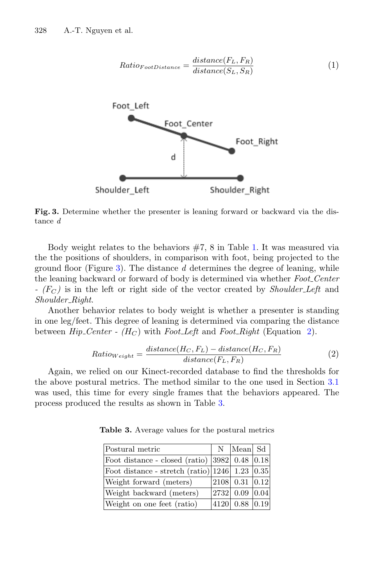<span id="page-8-0"></span>

<span id="page-8-1"></span>**Fig. 3.** Determine whether the presenter is leaning forward or backward via the distance *d*

Body weight relates to the behaviors  $#7$ , 8 in Table [1.](#page-3-0) It was measured via the the positions of shoulders, in comparison with foot, being projected to the ground floor (Figure [3\)](#page-8-1). The distance *d* determines the degree of leaning, while the leaning backward or forward of body is determined via whether *Foot Center - (F<sup>C</sup> )* is in the left or right side of the vector created by *Shoulder Left* and *Shoulder Right*.

Another behavior relates to body weight is whether a presenter is standing in one leg/feet. This degree of leaning is determined via comparing the distance between *Hip Center - (H<sup>C</sup>* ) with *Foot Left* and *Foot Right* (Equation [2\)](#page-8-2).

$$
Ratio_{Weight} = \frac{distance(H_C, F_L) - distance(H_C, F_R)}{distance(F_L, F_R)}
$$
(2)

<span id="page-8-2"></span>Again, we relied on our Kinect-recorded database to find the thresholds for the above postural metrics. The method similar to the one used in Section [3.1](#page-6-0) was used, this time for every single frames that the behaviors appeared. The process produced the results as shown in Table [3.](#page-8-3)

| Postural metric                                        | N | Mean  Sd             |      |
|--------------------------------------------------------|---|----------------------|------|
| Foot distance - closed (ratio) $ 3982 $ 0.48 $ 0.18 $  |   |                      |      |
| Foot distance - stretch (ratio) $ 1246 $ 1.23 $ 0.35 $ |   |                      |      |
| Weight forward (meters)                                |   | $2108$ 0.31 $ 0.12 $ |      |
| Weight backward (meters)                               |   | 2732 0.09            | 0.04 |
| Weight on one feet (ratio)                             |   | 4120 0.88 0.19       |      |

<span id="page-8-3"></span>**Table 3.** Average values for the postural metrics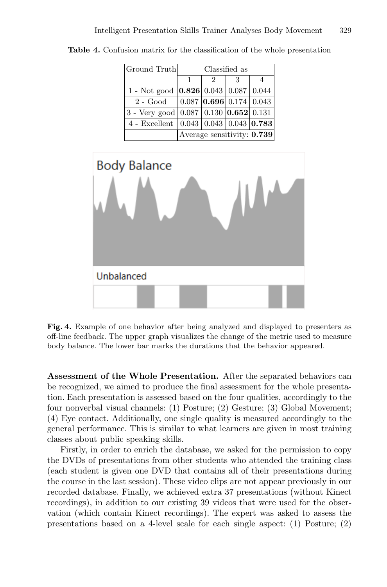| Ground Truth                                                         | Classified as              |   |  |  |  |  |
|----------------------------------------------------------------------|----------------------------|---|--|--|--|--|
|                                                                      |                            | 2 |  |  |  |  |
| 1 - Not good $\vert 0.826 \vert 0.043 \vert 0.087 \vert 0.044 \vert$ |                            |   |  |  |  |  |
| $2 - Good \quad  0.087 \,  0.696 \,  0.174 \,  0.043 \,  $           |                            |   |  |  |  |  |
| 3 - Very good   0.087   0.130   $0.652$   0.131                      |                            |   |  |  |  |  |
| 4 - Excellent $(0.043   0.043   0.043   0.783)$                      |                            |   |  |  |  |  |
|                                                                      | Average sensitivity: 0.739 |   |  |  |  |  |

<span id="page-9-0"></span>**Table 4.** Confusion matrix for the classification of the whole presentation



<span id="page-9-1"></span>**Fig. 4.** Example of one behavior after being analyzed and displayed to presenters as off-line feedback. The upper graph visualizes the change of the metric used to measure body balance. The lower bar marks the durations that the behavior appeared.

**Assessment of the Whole Presentation.** After the separated behaviors can be recognized, we aimed to produce the final assessment for the whole presentation. Each presentation is assessed based on the four qualities, accordingly to the four nonverbal visual channels: (1) Posture; (2) Gesture; (3) Global Movement; (4) Eye contact. Additionally, one single quality is measured accordingly to the general performance. This is similar to what learners are given in most training classes about public speaking skills.

Firstly, in order to enrich the database, we asked for the permission to copy the DVDs of presentations from other students who attended the training class (each student is given one DVD that contains all of their presentations during the course in the last session). These video clips are not appear previously in our recorded database. Finally, we achieved extra 37 presentations (without Kinect recordings), in addition to our existing 39 videos that were used for the observation (which contain Kinect recordings). The expert was asked to assess the presentations based on a 4-level scale for each single aspect: (1) Posture; (2)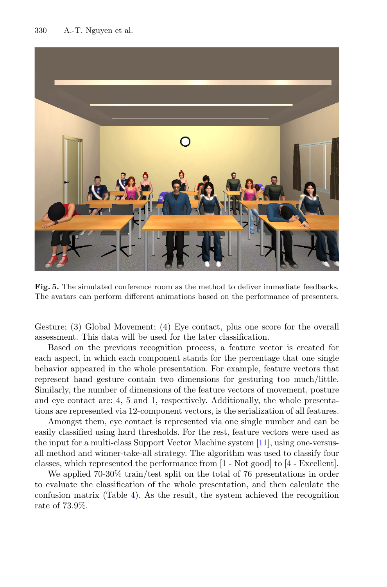

**Fig. 5.** The simulated conference room as the method to deliver immediate feedbacks. The avatars can perform different animations based on the performance of presenters.

Gesture; (3) Global Movement; (4) Eye contact, plus one score for the overall assessment. This data will be used for the later classification.

Based on the previous recognition process, a feature vector is created for each aspect, in which each component stands for the percentage that one single behavior appeared in the whole presentation. For example, feature vectors that represent hand gesture contain two dimensions for gesturing too much/little. Similarly, the number of dimensions of the feature vectors of movement, posture and eye contact are: 4, 5 and 1, respectively. Additionally, the whole presentations are represented via 12-component vectors, is the serialization of all features.

Amongst them, eye contact is represented via one single number and can be easily classified using hard thresholds. For the rest, feature vectors were used as the input for a multi-class Support Vector Machine system [\[11\]](#page-12-1), using one-versusall method and winner-take-all strategy. The algorithm was used to classify four classes, which represented the performance from [1 - Not good] to [4 - Excellent].

We applied 70-30% train/test split on the total of 76 presentations in order to evaluate the classification of the whole presentation, and then calculate the confusion matrix (Table [4\)](#page-9-0). As the result, the system achieved the recognition rate of 73.9%.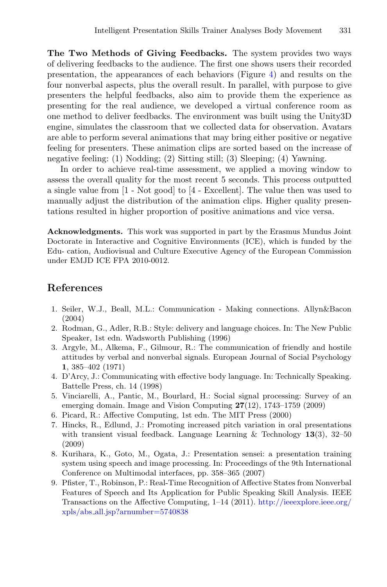**The Two Methods of Giving Feedbacks.** The system provides two ways of delivering feedbacks to the audience. The first one shows users their recorded presentation, the appearances of each behaviors (Figure [4\)](#page-9-1) and results on the four nonverbal aspects, plus the overall result. In parallel, with purpose to give presenters the helpful feedbacks, also aim to provide them the experience as presenting for the real audience, we developed a virtual conference room as one method to deliver feedbacks. The environment was built using the Unity3D engine, simulates the classroom that we collected data for observation. Avatars are able to perform several animations that may bring either positive or negative feeling for presenters. These animation clips are sorted based on the increase of negative feeling: (1) Nodding; (2) Sitting still; (3) Sleeping; (4) Yawning.

In order to achieve real-time assessment, we applied a moving window to assess the overall quality for the most recent 5 seconds. This process outputted a single value from [1 - Not good] to [4 - Excellent]. The value then was used to manually adjust the distribution of the animation clips. Higher quality presentations resulted in higher proportion of positive animations and vice versa.

**Acknowledgments.** This work was supported in part by the Erasmus Mundus Joint Doctorate in Interactive and Cognitive Environments (ICE), which is funded by the Edu- cation, Audiovisual and Culture Executive Agency of the European Commission under EMJD ICE FPA 2010-0012.

### <span id="page-11-0"></span>**References**

- 1. Seiler, W.J., Beall, M.L.: Communication Making connections. Allyn&Bacon (2004)
- <span id="page-11-1"></span>2. Rodman, G., Adler, R.B.: Style: delivery and language choices. In: The New Public Speaker, 1st edn. Wadsworth Publishing (1996)
- <span id="page-11-2"></span>3. Argyle, M., Alkema, F., Gilmour, R.: The communication of friendly and hostile attitudes by verbal and nonverbal signals. European Journal of Social Psychology **1**, 385–402 (1971)
- <span id="page-11-3"></span>4. D'Arcy, J.: Communicating with effective body language. In: Technically Speaking. Battelle Press, ch. 14 (1998)
- <span id="page-11-4"></span>5. Vinciarelli, A., Pantic, M., Bourlard, H.: Social signal processing: Survey of an emerging domain. Image and Vision Computing **27**(12), 1743–1759 (2009)
- <span id="page-11-5"></span>6. Picard, R.: Affective Computing, 1st edn. The MIT Press (2000)
- <span id="page-11-6"></span>7. Hincks, R., Edlund, J.: Promoting increased pitch variation in oral presentations with transient visual feedback. Language Learning & Technology **13**(3), 32–50 (2009)
- <span id="page-11-8"></span>8. Kurihara, K., Goto, M., Ogata, J.: Presentation sensei: a presentation training system using speech and image processing. In: Proceedings of the 9th International Conference on Multimodal interfaces, pp. 358–365 (2007)
- <span id="page-11-7"></span>9. Pfister, T., Robinson, P.: Real-Time Recognition of Affective States from Nonverbal Features of Speech and Its Application for Public Speaking Skill Analysis. IEEE Transactions on the Affective Computing, 1–14 (2011). [http://ieeexplore.ieee.org/](http://ieeexplore.ieee.org/xpls/abs_all.jsp?arnumber=5740838) xpls/abs [all.jsp?arnumber=5740838](http://ieeexplore.ieee.org/xpls/abs_all.jsp?arnumber=5740838)